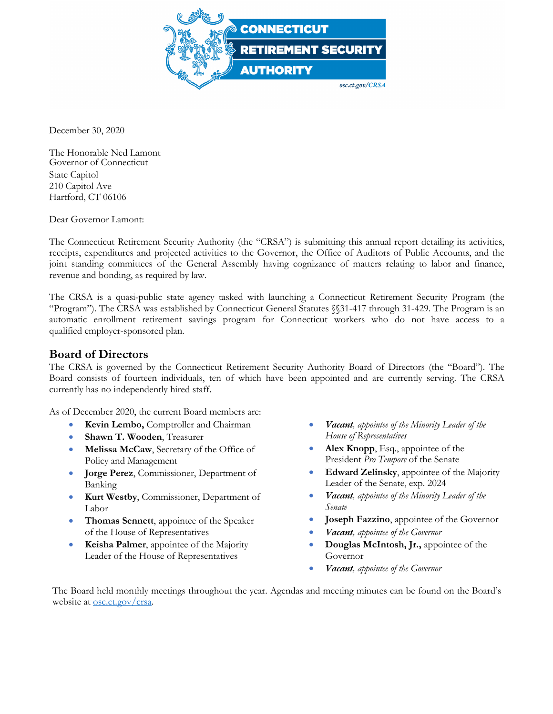

December 30, 2020

The Honorable Ned Lamont Governor of Connecticut State Capitol 210 Capitol Ave Hartford, CT 06106

Dear Governor Lamont:

The Connecticut Retirement Security Authority (the "CRSA") is submitting this annual report detailing its activities, receipts, expenditures and projected activities to the Governor, the Office of Auditors of Public Accounts, and the joint standing committees of the General Assembly having cognizance of matters relating to labor and finance, revenue and bonding, as required by law.

The CRSA is a quasi-public state agency tasked with launching a Connecticut Retirement Security Program (the "Program"). The CRSA was established by Connecticut General Statutes §§31-417 through 31-429. The Program is an automatic enrollment retirement savings program for Connecticut workers who do not have access to a qualified employer-sponsored plan.

### **Board of Directors**

The CRSA is governed by the Connecticut Retirement Security Authority Board of Directors (the "Board"). The Board consists of fourteen individuals, ten of which have been appointed and are currently serving. The CRSA currently has no independently hired staff.

As of December 2020, the current Board members are:

- **Kevin Lembo,** Comptroller and Chairman
- **Shawn T. Wooden**, Treasurer
- **Melissa McCaw**, Secretary of the Office of Policy and Management
- **Jorge Perez**, Commissioner, Department of Banking
- **Kurt Westby**, Commissioner, Department of Labor
- **Thomas Sennett**, appointee of the Speaker of the House of Representatives
- **Keisha Palmer**, appointee of the Majority Leader of the House of Representatives
- *Vacant, appointee of the Minority Leader of the House of Representatives*
- **Alex Knopp**, Esq., appointee of the President *Pro Tempore* of the Senate
- **Edward Zelinsky**, appointee of the Majority Leader of the Senate, exp. 2024
- *Vacant, appointee of the Minority Leader of the Senate*
- **Joseph Fazzino**, appointee of the Governor
- *Vacant, appointee of the Governor*
- **Douglas McIntosh, Jr.,** appointee of the Governor
- *Vacant, appointee of the Governor*

The Board held monthly meetings throughout the year. Agendas and meeting minutes can be found on the Board's website at <u>osc.ct.gov/crsa</u>.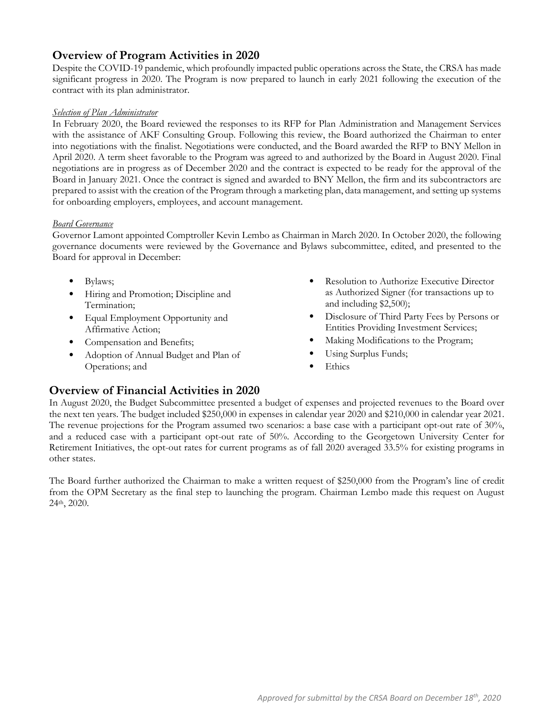# **Overview of Program Activities in 2020**

Despite the COVID-19 pandemic, which profoundly impacted public operations across the State, the CRSA has made significant progress in 2020. The Program is now prepared to launch in early 2021 following the execution of the contract with its plan administrator.

#### *Selection of Plan Administrator*

In February 2020, the Board reviewed the responses to its RFP for Plan Administration and Management Services with the assistance of AKF Consulting Group. Following this review, the Board authorized the Chairman to enter into negotiations with the finalist. Negotiations were conducted, and the Board awarded the RFP to BNY Mellon in April 2020. A term sheet favorable to the Program was agreed to and authorized by the Board in August 2020. Final negotiations are in progress as of December 2020 and the contract is expected to be ready for the approval of the Board in January 2021. Once the contract is signed and awarded to BNY Mellon, the firm and its subcontractors are prepared to assist with the creation of the Program through a marketing plan, data management, and setting up systems for onboarding employers, employees, and account management.

#### *Board Governance*

Governor Lamont appointed Comptroller Kevin Lembo as Chairman in March 2020. In October 2020, the following governance documents were reviewed by the Governance and Bylaws subcommittee, edited, and presented to the Board for approval in December:

- Bylaws;
- Hiring and Promotion; Discipline and Termination;
- Equal Employment Opportunity and Affirmative Action;
- Compensation and Benefits;
- Adoption of Annual Budget and Plan of Operations; and
- Resolution to Authorize Executive Director as Authorized Signer (for transactions up to and including \$2,500);
- Disclosure of Third Party Fees by Persons or Entities Providing Investment Services;
- Making Modifications to the Program;
- Using Surplus Funds;
- **Ethics**

## **Overview of Financial Activities in 2020**

In August 2020, the Budget Subcommittee presented a budget of expenses and projected revenues to the Board over the next ten years. The budget included \$250,000 in expenses in calendar year 2020 and \$210,000 in calendar year 2021. The revenue projections for the Program assumed two scenarios: a base case with a participant opt-out rate of 30%, and a reduced case with a participant opt-out rate of 50%. According to the Georgetown University Center for Retirement Initiatives, the opt-out rates for current programs as of fall 2020 averaged 33.5% for existing programs in other states.

The Board further authorized the Chairman to make a written request of \$250,000 from the Program's line of credit from the OPM Secretary as the final step to launching the program. Chairman Lembo made this request on August 24th, 2020.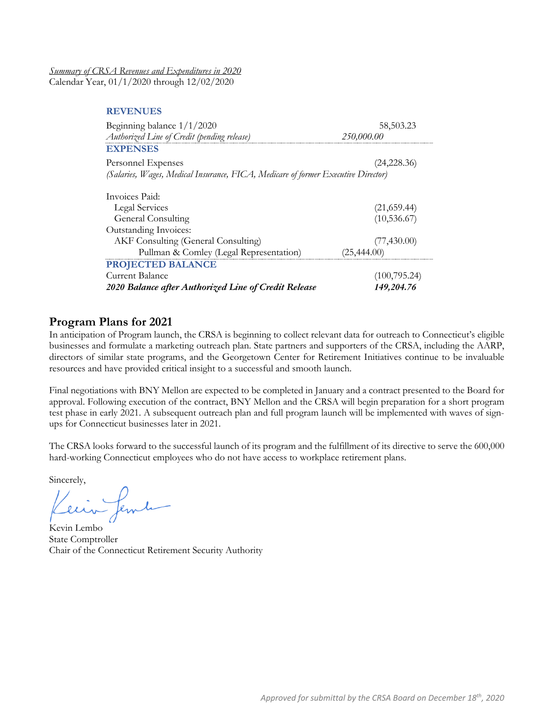*Summary of CRSA Revenues and Expenditures in 2020* Calendar Year, 01/1/2020 through 12/02/2020

**REVENUES**

| Beginning balance $1/1/2020$                                                      | 58,503.23    |
|-----------------------------------------------------------------------------------|--------------|
| Authorized Line of Credit (pending release)                                       | 250,000.00   |
| <b>EXPENSES</b>                                                                   |              |
| Personnel Expenses                                                                | (24, 228.36) |
| (Salaries, Wages, Medical Insurance, FICA, Medicare of former Executive Director) |              |
| Invoices Paid:                                                                    |              |
| Legal Services                                                                    | (21,659.44)  |
| General Consulting                                                                | (10, 536.67) |
| Outstanding Invoices:                                                             |              |
| <b>AKF Consulting (General Consulting)</b>                                        | (77, 430.00) |
| Pullman & Comley (Legal Representation)                                           | (25, 444.00) |
| PROJECTED BALANCE                                                                 |              |
| Current Balance                                                                   | (100,795.24) |
| 2020 Balance after Authorized Line of Credit Release                              | 149.204.76   |

### **Program Plans for 2021**

In anticipation of Program launch, the CRSA is beginning to collect relevant data for outreach to Connecticut's eligible businesses and formulate a marketing outreach plan. State partners and supporters of the CRSA, including the AARP, directors of similar state programs, and the Georgetown Center for Retirement Initiatives continue to be invaluable resources and have provided critical insight to a successful and smooth launch.

Final negotiations with BNY Mellon are expected to be completed in January and a contract presented to the Board for approval. Following execution of the contract, BNY Mellon and the CRSA will begin preparation for a short program test phase in early 2021. A subsequent outreach plan and full program launch will be implemented with waves of signups for Connecticut businesses later in 2021.

The CRSA looks forward to the successful launch of its program and the fulfillment of its directive to serve the 600,000 hard-working Connecticut employees who do not have access to workplace retirement plans.

Sincerely,

fember

Kevin Lembo State Comptroller Chair of the Connecticut Retirement Security Authority